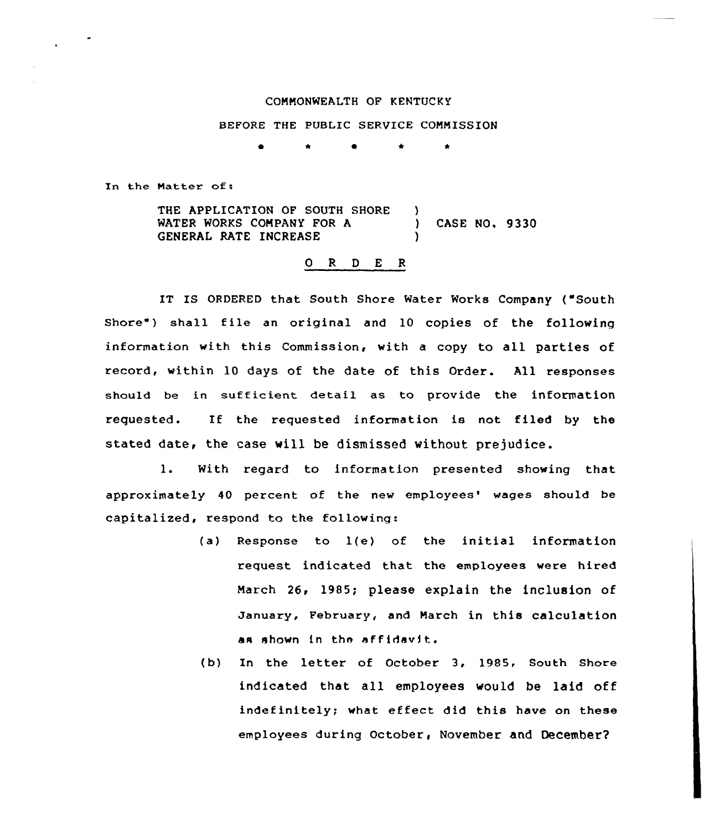## COMMONWEALTH OF KENTUCKY

## BEFORE THE PUBLIC SERVICE COMMISSION

In the Matter of:

THE APPLICATION OF SOUTH SHORE )<br>WATER WORKS COMPANY FOR A WATER WORKS COMPANY FOR A ) CASE NO. 9330 GENERAL RATE INCREASE

## 0 R <sup>D</sup> E R

IT IS ORDERED that South Shore Water Works Company ("South Shore") shall file an original and 10 copies of the following information with this Commission, with a copy to all parties of record, within 10 days of the date of this Order. All responses should be in sufficient detail as to provide the information requested. If the requested information is not filed by the stated date, the case will be dismissed without prejudice.

1. With regard to information presented showing that approximately 40 percent of the new employees' wages should be capitalized, respond to the following:

- (a) Response to 1(e) of the initial information request indicated that the employees were hired March 26, 1985; please explain the inclusion of January, February, and March in this calculation as shown in the affidavit.
- (b) In the letter of October 3, 1985, South Shore indicated that all employees would be laid off indefinitely; what effect did this have on these employees during October< November and Oecembet'2